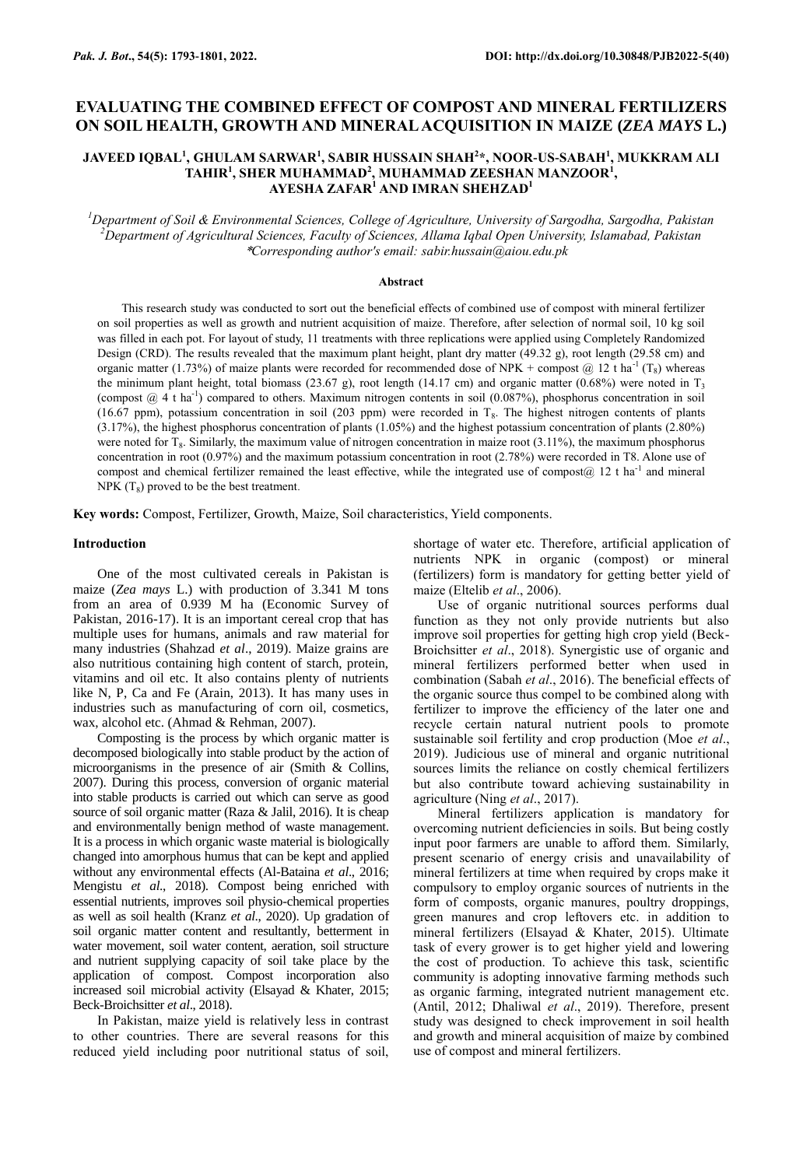# **EVALUATING THE COMBINED EFFECT OF COMPOST AND MINERAL FERTILIZERS ON SOIL HEALTH, GROWTH AND MINERAL ACQUISITION IN MAIZE (***ZEA MAYS* **L.)**

# **JAVEED IQBAL<sup>1</sup> , GHULAM SARWAR<sup>1</sup> , SABIR HUSSAIN SHAH<sup>2</sup> \*, NOOR-US-SABAH<sup>1</sup> , MUKKRAM ALI TAHIR<sup>1</sup> , SHER MUHAMMAD<sup>2</sup> , MUHAMMAD ZEESHAN MANZOOR<sup>1</sup> , AYESHA ZAFAR<sup>1</sup> AND IMRAN SHEHZAD<sup>1</sup>**

*<sup>1</sup>Department of Soil & Environmental Sciences, College of Agriculture, University of Sargodha, Sargodha, Pakistan <sup>2</sup>Department of Agricultural Sciences, Faculty of Sciences, Allama Iqbal Open University, Islamabad, Pakistan* \**Corresponding author's email: sabir.hussain@aiou.edu.pk*

#### **Abstract**

This research study was conducted to sort out the beneficial effects of combined use of compost with mineral fertilizer on soil properties as well as growth and nutrient acquisition of maize. Therefore, after selection of normal soil, 10 kg soil was filled in each pot. For layout of study, 11 treatments with three replications were applied using Completely Randomized Design (CRD). The results revealed that the maximum plant height, plant dry matter (49.32 g), root length (29.58 cm) and organic matter (1.73%) of maize plants were recorded for recommended dose of NPK + compost @ 12 t ha<sup>-1</sup> (T<sub>8</sub>) whereas the minimum plant height, total biomass (23.67 g), root length (14.17 cm) and organic matter (0.68%) were noted in  $T_3$ (compost  $@$  4 t ha<sup>-1</sup>) compared to others. Maximum nitrogen contents in soil (0.087%), phosphorus concentration in soil (16.67 ppm), potassium concentration in soil (203 ppm) were recorded in  $T_8$ . The highest nitrogen contents of plants (3.17%), the highest phosphorus concentration of plants (1.05%) and the highest potassium concentration of plants (2.80%) were noted for  $T_8$ . Similarly, the maximum value of nitrogen concentration in maize root  $(3.11\%)$ , the maximum phosphorus concentration in root (0.97%) and the maximum potassium concentration in root (2.78%) were recorded in T8. Alone use of compost and chemical fertilizer remained the least effective, while the integrated use of compost $(a)$  12 t ha<sup>-1</sup> and mineral  $NPK (T_8)$  proved to be the best treatment.

**Key words:** Compost, Fertilizer, Growth, Maize, Soil characteristics, Yield components.

### **Introduction**

One of the most cultivated cereals in Pakistan is maize (*Zea mays* L.) with production of 3.341 M tons from an area of 0.939 M ha (Economic Survey of Pakistan, 2016-17). It is an important cereal crop that has multiple uses for humans, animals and raw material for many industries (Shahzad *et al*., 2019). Maize grains are also nutritious containing high content of starch, protein, vitamins and oil etc. It also contains plenty of nutrients like N, P, Ca and Fe (Arain, 2013). It has many uses in industries such as manufacturing of corn oil, cosmetics, wax, alcohol etc. (Ahmad & Rehman, 2007).

Composting is the process by which organic matter is decomposed biologically into stable product by the action of microorganisms in the presence of air (Smith & Collins, 2007). During this process, conversion of organic material into stable products is carried out which can serve as good source of soil organic matter (Raza & Jalil, 2016). It is cheap and environmentally benign method of waste management. It is a process in which organic waste material is biologically changed into amorphous humus that can be kept and applied without any environmental effects (Al-Bataina *et al*., 2016; Mengistu *et al*., 2018). Compost being enriched with essential nutrients, improves soil physio-chemical properties as well as soil health (Kranz *et al*., 2020). Up gradation of soil organic matter content and resultantly, betterment in water movement, soil water content, aeration, soil structure and nutrient supplying capacity of soil take place by the application of compost. Compost incorporation also increased soil microbial activity (Elsayad & Khater, 2015; Beck-Broichsitter *et al*., 2018).

In Pakistan, maize yield is relatively less in contrast to other countries. There are several reasons for this reduced yield including poor nutritional status of soil,

shortage of water etc. Therefore, artificial application of nutrients NPK in organic (compost) or mineral (fertilizers) form is mandatory for getting better yield of maize (Eltelib *et al*., 2006).

Use of organic nutritional sources performs dual function as they not only provide nutrients but also improve soil properties for getting high crop yield (Beck-Broichsitter *et al*., 2018). Synergistic use of organic and mineral fertilizers performed better when used in combination (Sabah *et al*., 2016). The beneficial effects of the organic source thus compel to be combined along with fertilizer to improve the efficiency of the later one and recycle certain natural nutrient pools to promote sustainable soil fertility and crop production (Moe *et al*., 2019). Judicious use of mineral and organic nutritional sources limits the reliance on costly chemical fertilizers but also contribute toward achieving sustainability in agriculture (Ning *et al*., 2017).

Mineral fertilizers application is mandatory for overcoming nutrient deficiencies in soils. But being costly input poor farmers are unable to afford them. Similarly, present scenario of energy crisis and unavailability of mineral fertilizers at time when required by crops make it compulsory to employ organic sources of nutrients in the form of composts, organic manures, poultry droppings, green manures and crop leftovers etc. in addition to mineral fertilizers (Elsayad & Khater, 2015). Ultimate task of every grower is to get higher yield and lowering the cost of production. To achieve this task, scientific community is adopting innovative farming methods such as organic farming, integrated nutrient management etc. (Antil, 2012; Dhaliwal *et al*., 2019). Therefore, present study was designed to check improvement in soil health and growth and mineral acquisition of maize by combined use of compost and mineral fertilizers.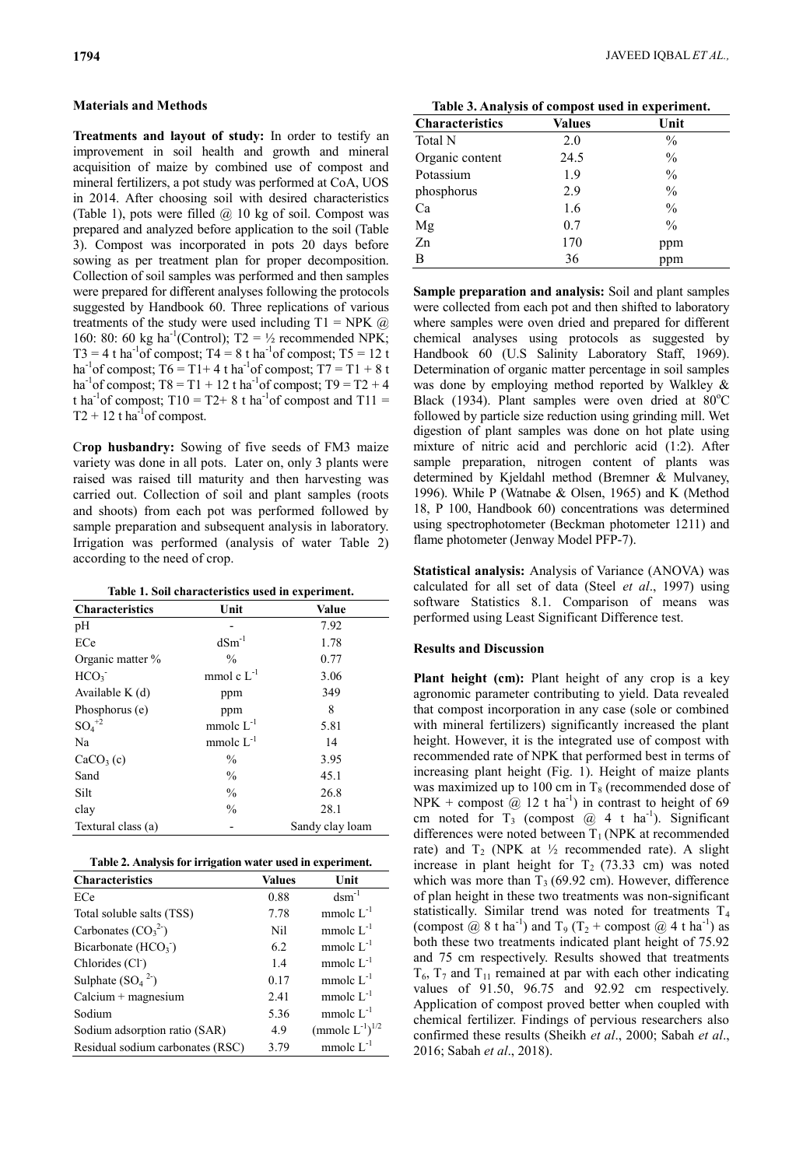# **Materials and Methods**

**Treatments and layout of study:** In order to testify an improvement in soil health and growth and mineral acquisition of maize by combined use of compost and mineral fertilizers, a pot study was performed at CoA, UOS in 2014. After choosing soil with desired characteristics (Table 1), pots were filled  $(a)$  10 kg of soil. Compost was prepared and analyzed before application to the soil (Table 3). Compost was incorporated in pots 20 days before sowing as per treatment plan for proper decomposition. Collection of soil samples was performed and then samples were prepared for different analyses following the protocols suggested by Handbook 60. Three replications of various treatments of the study were used including  $T1 = NPK$  (*a*) 160: 80: 60 kg ha<sup>-1</sup>(Control); T2 =  $\frac{1}{2}$  recommended NPK;  $T3 = 4$  t ha<sup>-1</sup> of compost;  $T4 = 8$  t ha<sup>-1</sup> of compost;  $T5 = 12$  t ha<sup>-1</sup> of compost; T6 = T1+4 t ha<sup>-1</sup> of compost; T7 = T1 + 8 t ha<sup>-1</sup> of compost; T8 = T1 + 12 t ha<sup>-1</sup> of compost; T9 = T2 + 4 t ha<sup>-1</sup> of compost; T10 = T2+ 8 t ha<sup>-1</sup> of compost and T11 =  $T2 + 12$  t ha<sup>1</sup> of compost.

C**rop husbandry:** Sowing of five seeds of FM3 maize variety was done in all pots. Later on, only 3 plants were raised was raised till maturity and then harvesting was carried out. Collection of soil and plant samples (roots and shoots) from each pot was performed followed by sample preparation and subsequent analysis in laboratory. Irrigation was performed (analysis of water Table 2) according to the need of crop.

**Table 1. Soil characteristics used in experiment.**

| <b>Characteristics</b> | Unit            | <b>Value</b>    |
|------------------------|-----------------|-----------------|
| pH                     |                 | 7.92            |
| ECe                    | $dSm^{-1}$      | 1.78            |
| Organic matter %       | $\frac{0}{0}$   | 0.77            |
| HCO <sub>3</sub>       | mmol c $L^{-1}$ | 3.06            |
| Available $K(d)$       | ppm             | 349             |
| Phosphorus (e)         | ppm             | 8               |
| $SO_4^+{}^2$           | mmole $L^{-1}$  | 5.81            |
| Na                     | mmole $L^{-1}$  | 14              |
| CaCO <sub>3</sub> (c)  | $\frac{0}{0}$   | 3.95            |
| Sand                   | $\frac{0}{0}$   | 45.1            |
| Silt                   | $\frac{0}{0}$   | 26.8            |
| clay                   | $\frac{0}{0}$   | 28.1            |
| Textural class (a)     |                 | Sandy clay loam |

|  | Table 2. Analysis for irrigation water used in experiment. |
|--|------------------------------------------------------------|
|  |                                                            |

| <b>Characteristics</b>           | Values | Unit                             |
|----------------------------------|--------|----------------------------------|
| ECe                              | 0.88   | $dcm^{-1}$                       |
| Total soluble salts (TSS)        | 7.78   | mmole $L^{-1}$                   |
| Carbonates $(CO_3^2)$            | Nil    | mmole $L^{-1}$                   |
| Bicarbonate $(HCO3)$             | 6.2    | mmole $L^{-1}$                   |
| Chlorides (Cl <sup>-</sup> )     | 1.4    | mmole $L^{-1}$                   |
| Sulphate $(SO42)$                | 0.17   | mmole $L^{-1}$                   |
| $Calcium + magnesium$            | 2.41   | mmole $L^{-1}$                   |
| Sodium                           | 5.36   | mmole $L^{-1}$                   |
| Sodium adsorption ratio (SAR)    | 4.9    | (mmole $L^{-1}$ ) <sup>1/2</sup> |
| Residual sodium carbonates (RSC) | 3.79   | mmole $L^{-1}$                   |

**Table 3. Analysis of compost used in experiment.**

| Characteristics | <b>Values</b> | Unit          |
|-----------------|---------------|---------------|
| Total N         | 2.0           | $\frac{0}{0}$ |
| Organic content | 24.5          | $\frac{0}{0}$ |
| Potassium       | 1.9           | $\frac{0}{0}$ |
| phosphorus      | 2.9           | $\frac{0}{0}$ |
| Ca              | 1.6           | $\frac{0}{0}$ |
| Mg              | 0.7           | $\frac{0}{0}$ |
| Zn              | 170           | ppm           |
| B               | 36            | ppm           |

**Sample preparation and analysis:** Soil and plant samples were collected from each pot and then shifted to laboratory where samples were oven dried and prepared for different chemical analyses using protocols as suggested by Handbook 60 (U.S Salinity Laboratory Staff, 1969). Determination of organic matter percentage in soil samples was done by employing method reported by Walkley & Black (1934). Plant samples were oven dried at  $80^{\circ}$ C followed by particle size reduction using grinding mill. Wet digestion of plant samples was done on hot plate using mixture of nitric acid and perchloric acid (1:2). After sample preparation, nitrogen content of plants was determined by Kjeldahl method (Bremner & Mulvaney, 1996). While P (Watnabe & Olsen, 1965) and K (Method 18, P 100, Handbook 60) concentrations was determined using spectrophotometer (Beckman photometer 1211) and flame photometer (Jenway Model PFP-7).

**Statistical analysis:** Analysis of Variance (ANOVA) was calculated for all set of data (Steel *et al*., 1997) using software Statistics 8.1. Comparison of means was performed using Least Significant Difference test.

# **Results and Discussion**

**Plant height (cm):** Plant height of any crop is a key agronomic parameter contributing to yield. Data revealed that compost incorporation in any case (sole or combined with mineral fertilizers) significantly increased the plant height. However, it is the integrated use of compost with recommended rate of NPK that performed best in terms of increasing plant height (Fig. 1). Height of maize plants was maximized up to 100 cm in  $T_8$  (recommended dose of NPK + compost  $\hat{\omega}$  12 t ha<sup>-1</sup>) in contrast to height of 69 cm noted for  $T_3$  (compost  $@ 4 t$  ha<sup>-1</sup>). Significant differences were noted between  $T_1$  (NPK at recommended rate) and  $T_2$  (NPK at  $\frac{1}{2}$  recommended rate). A slight increase in plant height for  $T_2$  (73.33 cm) was noted which was more than  $T_3$  (69.92 cm). However, difference of plan height in these two treatments was non-significant statistically. Similar trend was noted for treatments T<sup>4</sup> (compost  $\omega$  8 t ha<sup>-1</sup>) and T<sub>9</sub> (T<sub>2</sub> + compost  $\omega$  4 t ha<sup>-1</sup>) as both these two treatments indicated plant height of 75.92 and 75 cm respectively. Results showed that treatments  $T_6$ ,  $T_7$  and  $T_{11}$  remained at par with each other indicating values of 91.50, 96.75 and 92.92 cm respectively. Application of compost proved better when coupled with chemical fertilizer. Findings of pervious researchers also confirmed these results (Sheikh *et al*., 2000; Sabah *et al*., 2016; Sabah *et al*., 2018).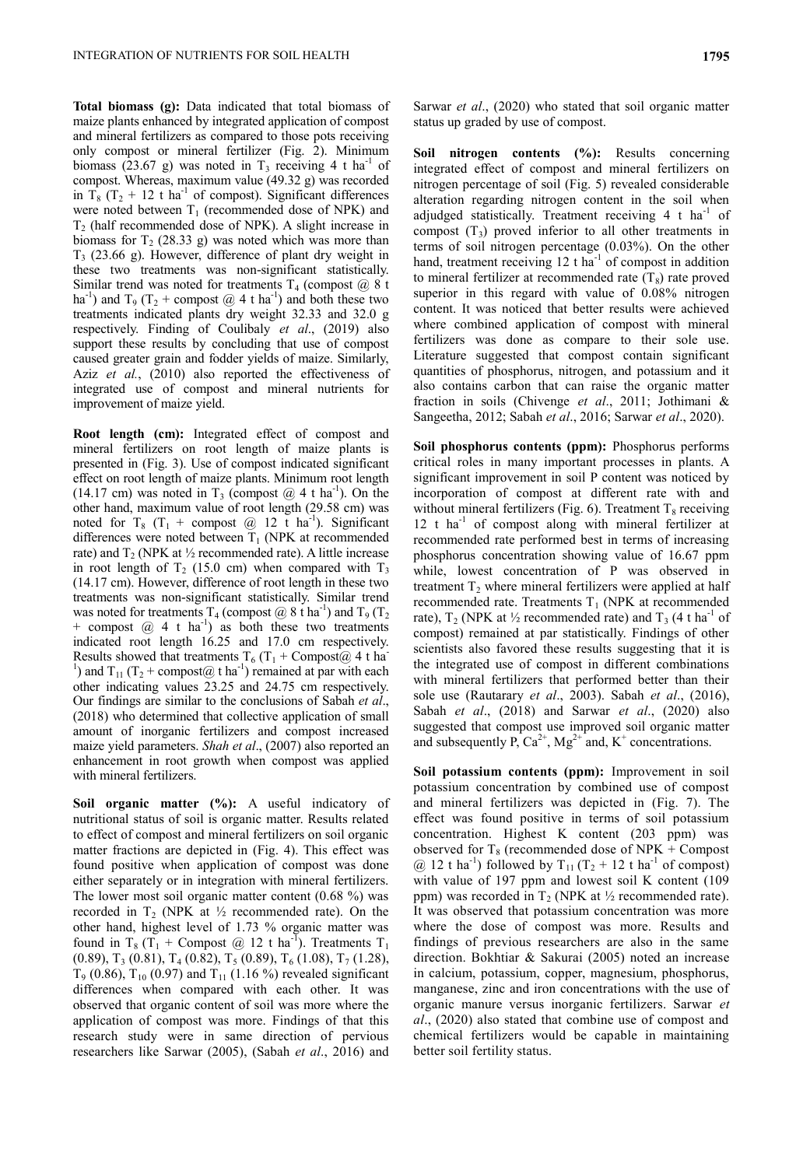**Total biomass (g):** Data indicated that total biomass of maize plants enhanced by integrated application of compost and mineral fertilizers as compared to those pots receiving only compost or mineral fertilizer (Fig. 2). Minimum biomass (23.67 g) was noted in  $T_3$  receiving 4 t ha<sup>-1</sup> of compost. Whereas, maximum value (49.32 g) was recorded in  $T_8$  (T<sub>2</sub> + 12 t ha<sup>-1</sup> of compost). Significant differences were noted between  $T_1$  (recommended dose of NPK) and  $T_2$  (half recommended dose of NPK). A slight increase in biomass for  $T_2$  (28.33 g) was noted which was more than  $T<sub>3</sub>$  (23.66 g). However, difference of plant dry weight in these two treatments was non-significant statistically. Similar trend was noted for treatments  $T_4$  (compost  $\omega/8$  t ha<sup>-1</sup>) and T<sub>9</sub> (T<sub>2</sub> + compost @ 4 t ha<sup>-1</sup>) and both these two treatments indicated plants dry weight 32.33 and 32.0 g respectively. Finding of Coulibaly *et al*., (2019) also support these results by concluding that use of compost caused greater grain and fodder yields of maize. Similarly, Aziz *et al.*, (2010) also reported the effectiveness of integrated use of compost and mineral nutrients for improvement of maize yield.

**Root length (cm):** Integrated effect of compost and mineral fertilizers on root length of maize plants is presented in (Fig. 3). Use of compost indicated significant effect on root length of maize plants. Minimum root length (14.17 cm) was noted in  $T_3$  (compost  $@$  4 t ha<sup>-1</sup>). On the other hand, maximum value of root length (29.58 cm) was noted for  $T_8$  ( $T_1$  + compost @ 12 t ha<sup>-1</sup>). Significant differences were noted between  $T_1$  (NPK at recommended rate) and  $T_2$  (NPK at  $\frac{1}{2}$  recommended rate). A little increase in root length of  $T_2$  (15.0 cm) when compared with  $T_3$ (14.17 cm). However, difference of root length in these two treatments was non-significant statistically. Similar trend was noted for treatments  $T_4$  (compost @ 8 t ha<sup>-1</sup>) and  $T_9$  ( $T_2$ + compost  $(a)$  4 t ha<sup>-1</sup>) as both these two treatments indicated root length 16.25 and 17.0 cm respectively. Results showed that treatments  $T_6$  (T<sub>1</sub> + Compost( $\hat{\omega}$ ) 4 t ha <sup>1</sup>) and T<sub>11</sub> (T<sub>2</sub> + compost@ t ha<sup>-1</sup>) remained at par with each other indicating values 23.25 and 24.75 cm respectively. Our findings are similar to the conclusions of Sabah *et al*., (2018) who determined that collective application of small amount of inorganic fertilizers and compost increased maize yield parameters. *Shah et al*., (2007) also reported an enhancement in root growth when compost was applied with mineral fertilizers.

**Soil organic matter (%):** A useful indicatory of nutritional status of soil is organic matter. Results related to effect of compost and mineral fertilizers on soil organic matter fractions are depicted in (Fig. 4). This effect was found positive when application of compost was done either separately or in integration with mineral fertilizers. The lower most soil organic matter content (0.68 %) was recorded in  $T_2$  (NPK at  $\frac{1}{2}$  recommended rate). On the other hand, highest level of 1.73 % organic matter was found in T<sub>8</sub> (T<sub>1</sub> + Compost @ 12 t ha<sup>-T</sup>). Treatments T<sub>1</sub>  $(0.89)$ , T<sub>3</sub> (0.81), T<sub>4</sub> (0.82), T<sub>5</sub> (0.89), T<sub>6</sub> (1.08), T<sub>7</sub> (1.28),  $T_9$  (0.86),  $T_{10}$  (0.97) and  $T_{11}$  (1.16 %) revealed significant differences when compared with each other. It was observed that organic content of soil was more where the application of compost was more. Findings of that this research study were in same direction of pervious researchers like Sarwar (2005), (Sabah *et al*., 2016) and

Sarwar *et al*., (2020) who stated that soil organic matter status up graded by use of compost.

**Soil nitrogen contents (%):** Results concerning integrated effect of compost and mineral fertilizers on nitrogen percentage of soil (Fig. 5) revealed considerable alteration regarding nitrogen content in the soil when adjudged statistically. Treatment receiving  $4$  t ha<sup>-1</sup> of compost  $(T_3)$  proved inferior to all other treatments in terms of soil nitrogen percentage (0.03%). On the other hand, treatment receiving  $12$  t ha<sup>-1</sup> of compost in addition to mineral fertilizer at recommended rate  $(T_8)$  rate proved superior in this regard with value of 0.08% nitrogen content. It was noticed that better results were achieved where combined application of compost with mineral fertilizers was done as compare to their sole use. Literature suggested that compost contain significant quantities of phosphorus, nitrogen, and potassium and it also contains carbon that can raise the organic matter fraction in soils (Chivenge *et al*., 2011; Jothimani & Sangeetha, 2012; Sabah *et al*., 2016; Sarwar *et al*., 2020).

**Soil phosphorus contents (ppm):** Phosphorus performs critical roles in many important processes in plants. A significant improvement in soil P content was noticed by incorporation of compost at different rate with and without mineral fertilizers (Fig. 6). Treatment  $T_8$  receiving 12 t ha<sup>-1</sup> of compost along with mineral fertilizer at recommended rate performed best in terms of increasing phosphorus concentration showing value of 16.67 ppm while, lowest concentration of P was observed in treatment  $T_2$  where mineral fertilizers were applied at half recommended rate. Treatments  $T_1$  (NPK at recommended rate),  $T_2$  (NPK at ½ recommended rate) and  $T_3$  (4 t ha<sup>-1</sup> of compost) remained at par statistically. Findings of other scientists also favored these results suggesting that it is the integrated use of compost in different combinations with mineral fertilizers that performed better than their sole use (Rautarary *et al*., 2003). Sabah *et al*., (2016), Sabah *et al*., (2018) and Sarwar *et al*., (2020) also suggested that compost use improved soil organic matter and subsequently P,  $Ca^{2+}$ , Mg<sup>2+</sup> and, K<sup>+</sup> concentrations.

**Soil potassium contents (ppm):** Improvement in soil potassium concentration by combined use of compost and mineral fertilizers was depicted in (Fig. 7). The effect was found positive in terms of soil potassium concentration. Highest K content (203 ppm) was observed for  $T_8$  (recommended dose of NPK + Compost @ 12 t ha<sup>-1</sup>) followed by  $T_{11}$  ( $T_2$  + 12 t ha<sup>-1</sup> of compost) with value of 197 ppm and lowest soil K content (109 ppm) was recorded in  $T_2$  (NPK at  $\frac{1}{2}$  recommended rate). It was observed that potassium concentration was more where the dose of compost was more. Results and findings of previous researchers are also in the same direction. Bokhtiar & Sakurai (2005) noted an increase in calcium, potassium, copper, magnesium, phosphorus, manganese, zinc and iron concentrations with the use of organic manure versus inorganic fertilizers. Sarwar *et al*., (2020) also stated that combine use of compost and chemical fertilizers would be capable in maintaining better soil fertility status.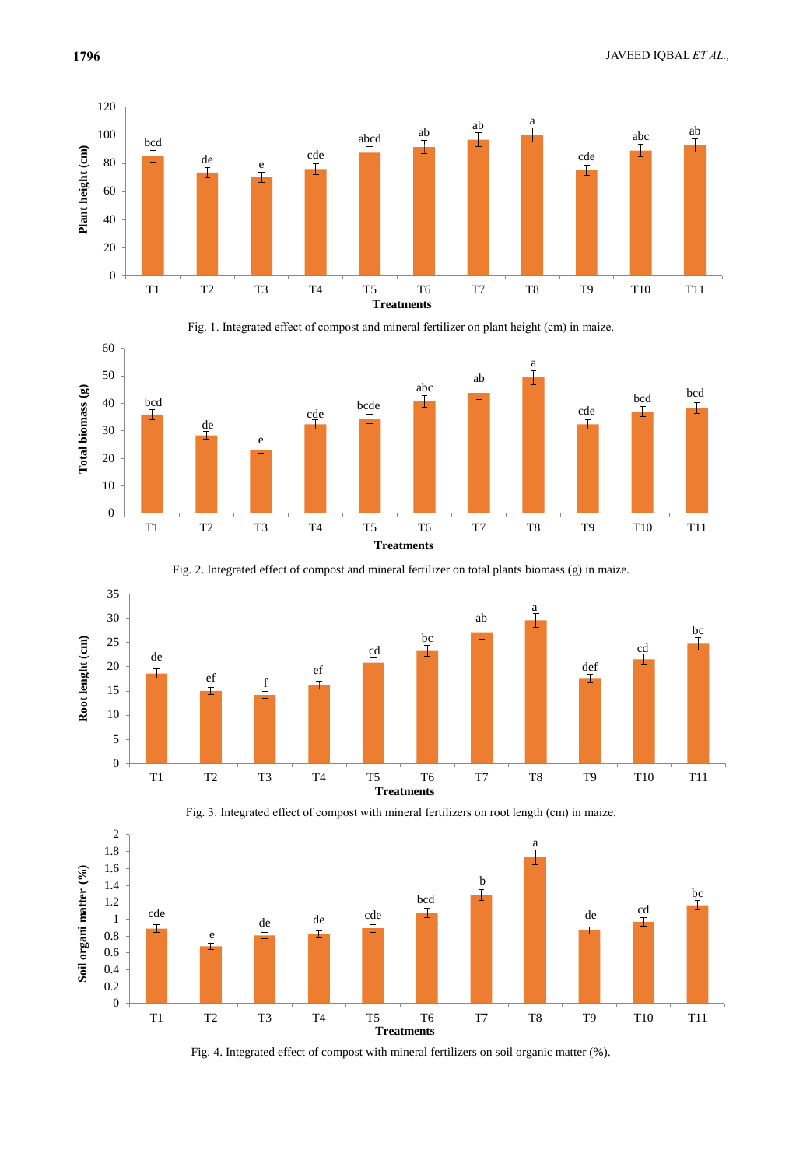













Fig. 3. Integrated effect of compost with mineral fertilizers on root length (cm) in maize.

Fig. 4. Integrated effect of compost with mineral fertilizers on soil organic matter (%).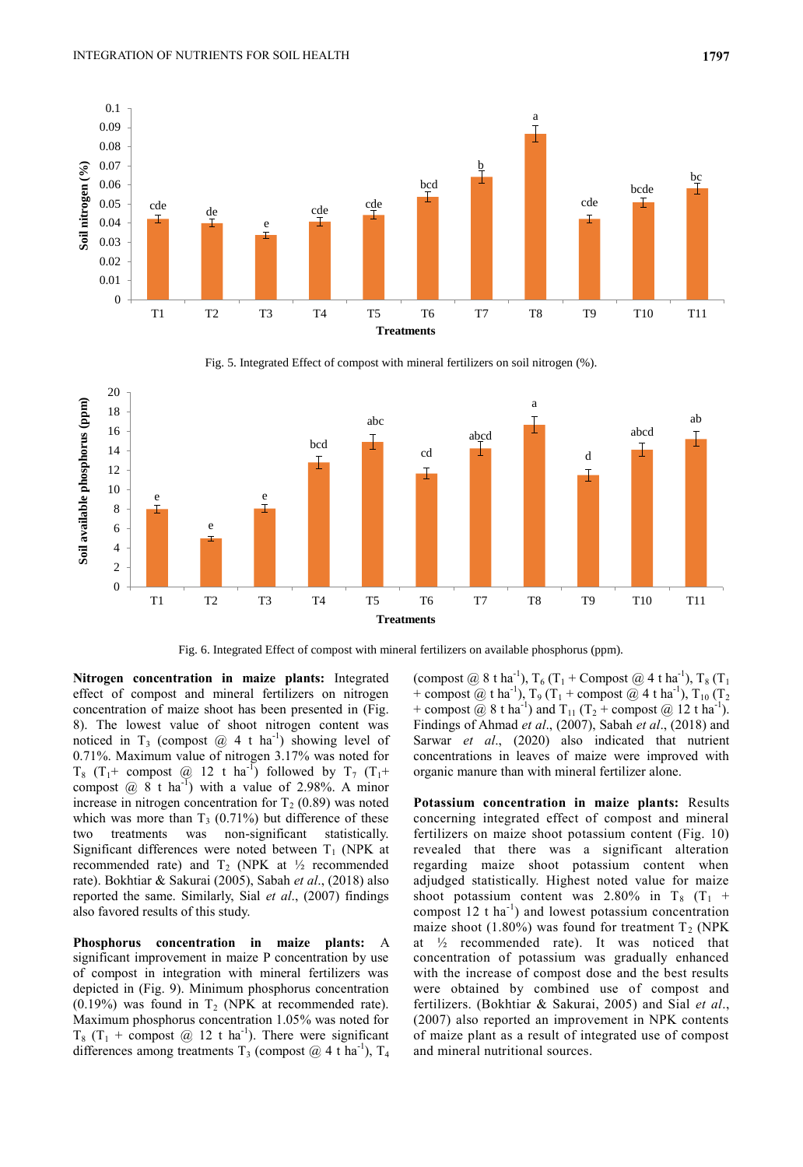

Fig. 5. Integrated Effect of compost with mineral fertilizers on soil nitrogen (%).



Fig. 6. Integrated Effect of compost with mineral fertilizers on available phosphorus (ppm).

**Nitrogen concentration in maize plants:** Integrated effect of compost and mineral fertilizers on nitrogen concentration of maize shoot has been presented in (Fig. 8). The lowest value of shoot nitrogen content was noticed in T<sub>3</sub> (compost  $@ 4 t$  ha<sup>-1</sup>) showing level of 0.71%. Maximum value of nitrogen 3.17% was noted for  $T_8$  (T<sub>1</sub>+ compost @ 12 t ha<sup>-1</sup>) followed by T<sub>7</sub> (T<sub>1</sub>+ compost  $\omega$  8 t ha<sup>-1</sup>) with a value of 2.98%. A minor increase in nitrogen concentration for  $T_2$  (0.89) was noted which was more than  $T_3$  (0.71%) but difference of these two treatments was non-significant statistically. Significant differences were noted between  $T_1$  (NPK at recommended rate) and  $T_2$  (NPK at  $\frac{1}{2}$  recommended rate). Bokhtiar & Sakurai (2005), Sabah *et al*., (2018) also reported the same. Similarly, Sial *et al*., (2007) findings also favored results of this study.

**Phosphorus concentration in maize plants:** A significant improvement in maize P concentration by use of compost in integration with mineral fertilizers was depicted in (Fig. 9). Minimum phosphorus concentration (0.19%) was found in  $T_2$  (NPK at recommended rate). Maximum phosphorus concentration 1.05% was noted for  $T_8$  (T<sub>1</sub> + compost @ 12 t ha<sup>-1</sup>). There were significant differences among treatments  $T_3$  (compost @ 4 t ha<sup>-1</sup>),  $T_4$ 

(compost @ 8 t ha<sup>-1</sup>), T<sub>6</sub> (T<sub>1</sub> + Compost @ 4 t ha<sup>-1</sup>), T<sub>8</sub> (T<sub>1</sub> + compost @ t ha<sup>-1</sup>),  $T_9(T_1 +$  compost @ 4 t ha<sup>-1</sup>),  $T_{10} (T_2$ + compost  $\omega$  8 t ha<sup>-1</sup>) and T<sub>11</sub> (T<sub>2</sub> + compost  $\omega$  12 t ha<sup>-1</sup>). Findings of Ahmad *et al*., (2007), Sabah *et al*., (2018) and Sarwar *et al*., (2020) also indicated that nutrient concentrations in leaves of maize were improved with organic manure than with mineral fertilizer alone.

**Potassium concentration in maize plants:** Results concerning integrated effect of compost and mineral fertilizers on maize shoot potassium content (Fig. 10) revealed that there was a significant alteration regarding maize shoot potassium content when adjudged statistically. Highest noted value for maize shoot potassium content was 2.80% in  $T_8$  ( $T_1$  + compost  $12$  t ha<sup>-1</sup>) and lowest potassium concentration maize shoot (1.80%) was found for treatment  $T_2$  (NPK) at ½ recommended rate). It was noticed that concentration of potassium was gradually enhanced with the increase of compost dose and the best results were obtained by combined use of compost and fertilizers. (Bokhtiar & Sakurai, 2005) and Sial *et al*., (2007) also reported an improvement in NPK contents of maize plant as a result of integrated use of compost and mineral nutritional sources.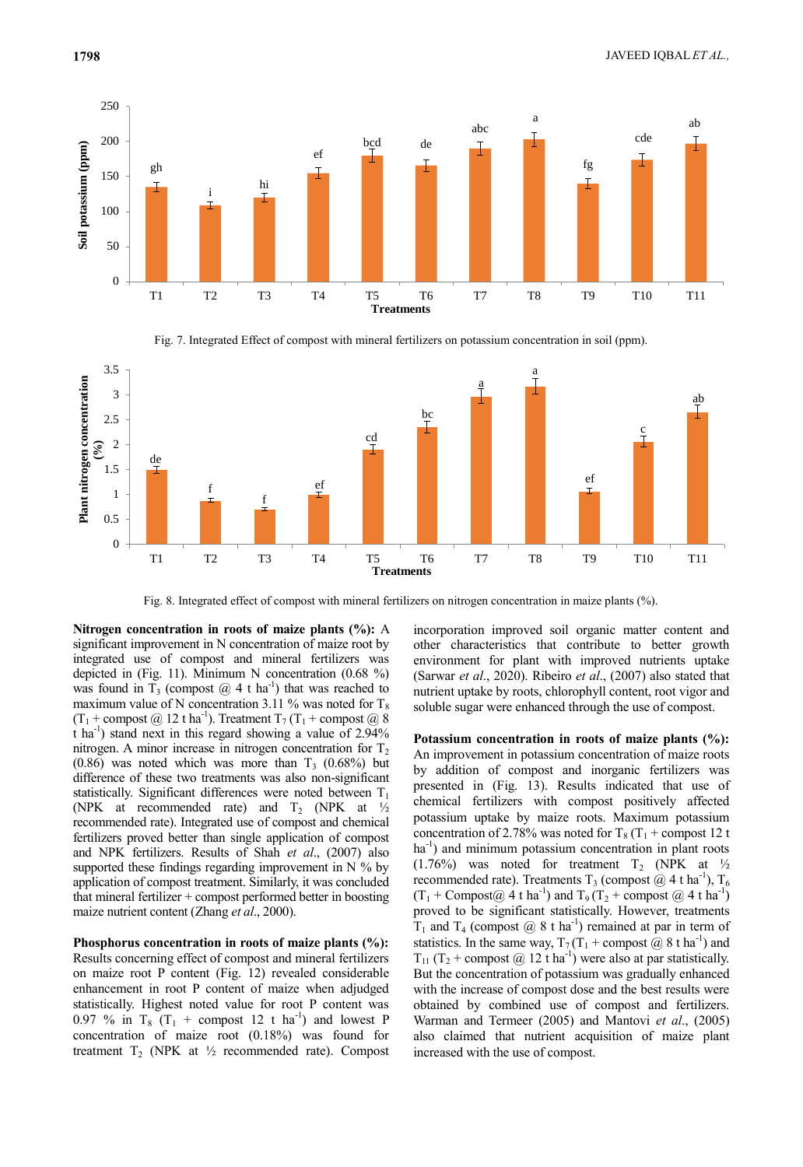

Fig. 7. Integrated Effect of compost with mineral fertilizers on potassium concentration in soil (ppm).



Fig. 8. Integrated effect of compost with mineral fertilizers on nitrogen concentration in maize plants (%).

**Nitrogen concentration in roots of maize plants (%):** A significant improvement in N concentration of maize root by integrated use of compost and mineral fertilizers was depicted in (Fig. 11). Minimum N concentration (0.68 %) was found in  $T_3$  (compost  $@$  4 t ha<sup>-1</sup>) that was reached to maximum value of N concentration 3.11 % was noted for  $T_8$  $(T_1 + \text{compact } \textcircled{a} 12 \text{ t} \text{ ha}^{-1})$ . Treatment  $T_7$   $(T_1 + \text{compact } \textcircled{a} 8)$  $\text{tha}^{-1}$ ) stand next in this regard showing a value of 2.94% nitrogen. A minor increase in nitrogen concentration for  $T_2$  $(0.86)$  was noted which was more than T<sub>3</sub>  $(0.68\%)$  but difference of these two treatments was also non-significant statistically. Significant differences were noted between  $T_1$ (NPK at recommended rate) and  $T_2$  (NPK at  $\frac{1}{2}$ recommended rate). Integrated use of compost and chemical fertilizers proved better than single application of compost and NPK fertilizers. Results of Shah *et al*., (2007) also supported these findings regarding improvement in  $N$  % by application of compost treatment. Similarly, it was concluded that mineral fertilizer + compost performed better in boosting maize nutrient content (Zhang *et al*., 2000).

**Phosphorus concentration in roots of maize plants (%):**  Results concerning effect of compost and mineral fertilizers on maize root P content (Fig. 12) revealed considerable enhancement in root P content of maize when adjudged statistically. Highest noted value for root P content was 0.97 % in  $T_8$  ( $T_1$  + compost 12 t ha<sup>-1</sup>) and lowest P concentration of maize root (0.18%) was found for treatment  $T_2$  (NPK at  $\frac{1}{2}$  recommended rate). Compost

incorporation improved soil organic matter content and other characteristics that contribute to better growth environment for plant with improved nutrients uptake (Sarwar *et al*., 2020). Ribeiro *et al*., (2007) also stated that nutrient uptake by roots, chlorophyll content, root vigor and soluble sugar were enhanced through the use of compost.

**Potassium concentration in roots of maize plants (%):**  An improvement in potassium concentration of maize roots by addition of compost and inorganic fertilizers was presented in (Fig. 13). Results indicated that use of chemical fertilizers with compost positively affected potassium uptake by maize roots. Maximum potassium concentration of 2.78% was noted for  $T_8$  (T<sub>1</sub> + compost 12 t ha<sup>-1</sup>) and minimum potassium concentration in plant roots (1.76%) was noted for treatment  $T_2$  (NPK at  $\frac{1}{2}$ recommended rate). Treatments T<sub>3</sub> (compost  $@$  4 t ha<sup>-1</sup>), T<sub>6</sub>  $(T_1 + \text{Compost@ } 4 \text{ t ha}^{-1})$  and  $T_9(T_2 + \text{compost @ } 4 \text{ t ha}^{-1})$ proved to be significant statistically. However, treatments  $T_1$  and  $T_4$  (compost @ 8 t ha<sup>-1</sup>) remained at par in term of statistics. In the same way,  $T_7(T_1 + \text{compact } @ 8 \text{ t ha}^{-1})$  and  $T_{11}$  (T<sub>2</sub> + compost @ 12 t ha<sup>-1</sup>) were also at par statistically. But the concentration of potassium was gradually enhanced with the increase of compost dose and the best results were obtained by combined use of compost and fertilizers. Warman and Termeer (2005) and Mantovi *et al*., (2005) also claimed that nutrient acquisition of maize plant increased with the use of compost.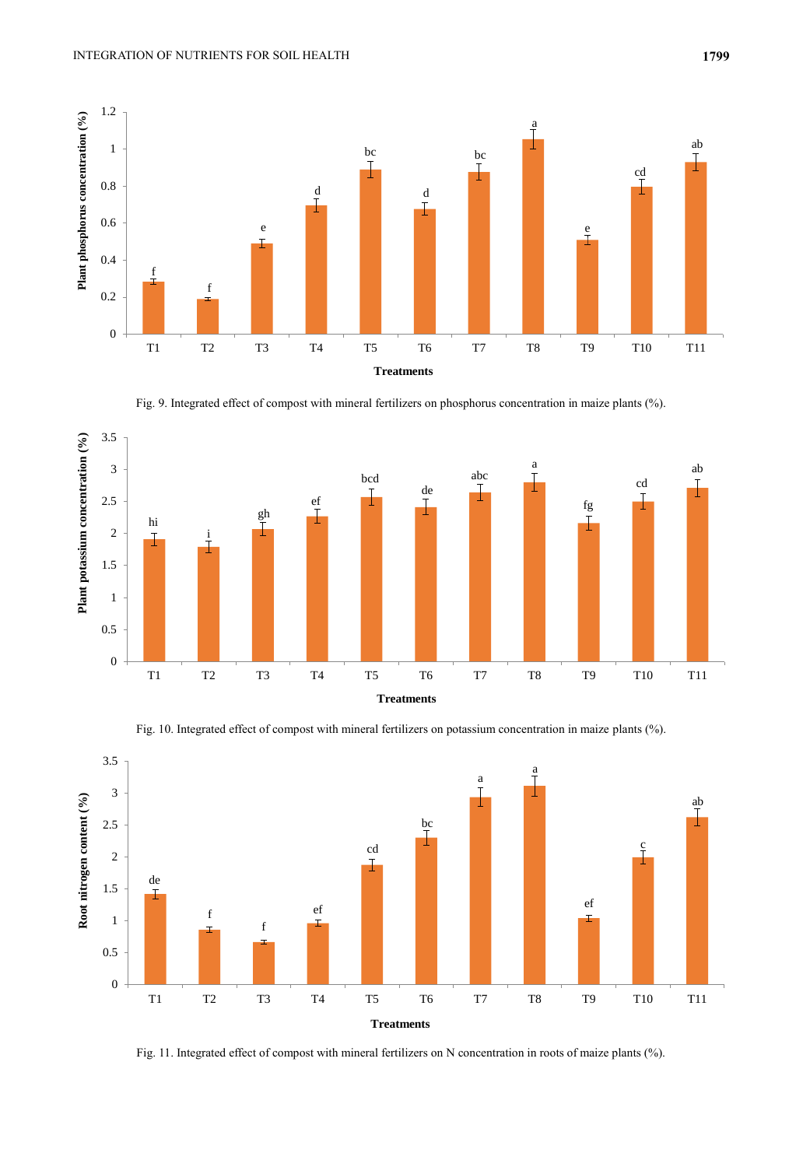

Fig. 9. Integrated effect of compost with mineral fertilizers on phosphorus concentration in maize plants (%).



Fig. 10. Integrated effect of compost with mineral fertilizers on potassium concentration in maize plants (%).



Fig. 11. Integrated effect of compost with mineral fertilizers on N concentration in roots of maize plants (%).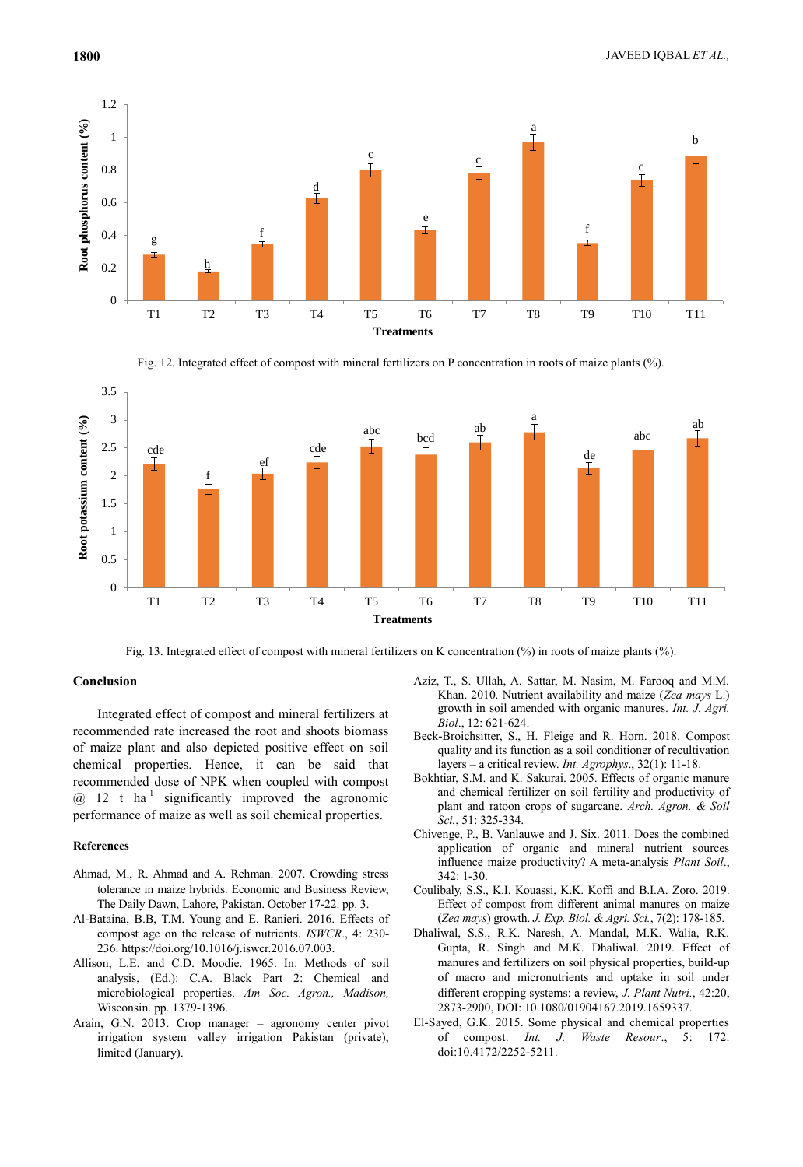

Fig. 12. Integrated effect of compost with mineral fertilizers on P concentration in roots of maize plants (%).



Fig. 13. Integrated effect of compost with mineral fertilizers on K concentration (%) in roots of maize plants (%).

### **Conclusion**

Integrated effect of compost and mineral fertilizers at recommended rate increased the root and shoots biomass of maize plant and also depicted positive effect on soil chemical properties. Hence, it can be said that recommended dose of NPK when coupled with compost  $@ 12$  t ha<sup>-1</sup> significantly improved the agronomic performance of maize as well as soil chemical properties.

#### **References**

- Ahmad, M., R. Ahmad and A. Rehman. 2007. Crowding stress tolerance in maize hybrids. Economic and Business Review, The Daily Dawn, Lahore, Pakistan. October 17-22. pp. 3.
- Al-Bataina, B.B, T.M. Young and E. Ranieri. 2016. Effects of compost age on the release of nutrients. *ISWCR*., 4: 230- 236. https://doi.org/10.1016/j.iswcr.2016.07.003.
- Allison, L.E. and C.D. Moodie. 1965. In: Methods of soil analysis, (Ed.): C.A. Black Part 2: Chemical and microbiological properties. *Am Soc. Agron., Madison,* Wisconsin. pp. 1379-1396.
- Arain, G.N. 2013. Crop manager agronomy center pivot irrigation system valley irrigation Pakistan (private), limited (January).
- Aziz, T., S. Ullah, A. Sattar, M. Nasim, M. Farooq and M.M. Khan. 2010. Nutrient availability and maize (*Zea mays* L.) growth in soil amended with organic manures. *Int. J. Agri. Biol*., 12: 621-624.
- Beck-Broichsitter, S., H. Fleige and R. Horn. 2018. Compost quality and its function as a soil conditioner of recultivation layers – a critical review. *Int. Agrophys*., 32(1): 11-18.
- Bokhtiar, S.M. and K. Sakurai. 2005. Effects of organic manure and chemical fertilizer on soil fertility and productivity of plant and ratoon crops of sugarcane. *Arch. Agron. & Soil Sci.*, 51: 325-334.
- Chivenge, P., B. Vanlauwe and J. Six. 2011. Does the combined application of organic and mineral nutrient sources influence maize productivity? A meta-analysis *Plant Soil*.,  $342:1 - 30.$
- Coulibaly, S.S., K.I. Kouassi, K.K. Koffi and B.I.A. Zoro. 2019. Effect of compost from different animal manures on maize (*Zea mays*) growth. *J. Exp. Biol. & Agri. Sci.*, 7(2): 178-185.
- Dhaliwal, S.S., R.K. Naresh, A. Mandal, M.K. Walia, R.K. Gupta, R. Singh and M.K. Dhaliwal. 2019. Effect of manures and fertilizers on soil physical properties, build-up of macro and micronutrients and uptake in soil under different cropping systems: a review, *J. Plant Nutri.*, 42:20, 2873-2900, DOI: 10.1080/01904167.2019.1659337.
- El-Sayed, G.K. 2015. Some physical and chemical properties of compost. *Int. J. Waste Resour*., 5: 172. doi:10.4172/2252-5211.